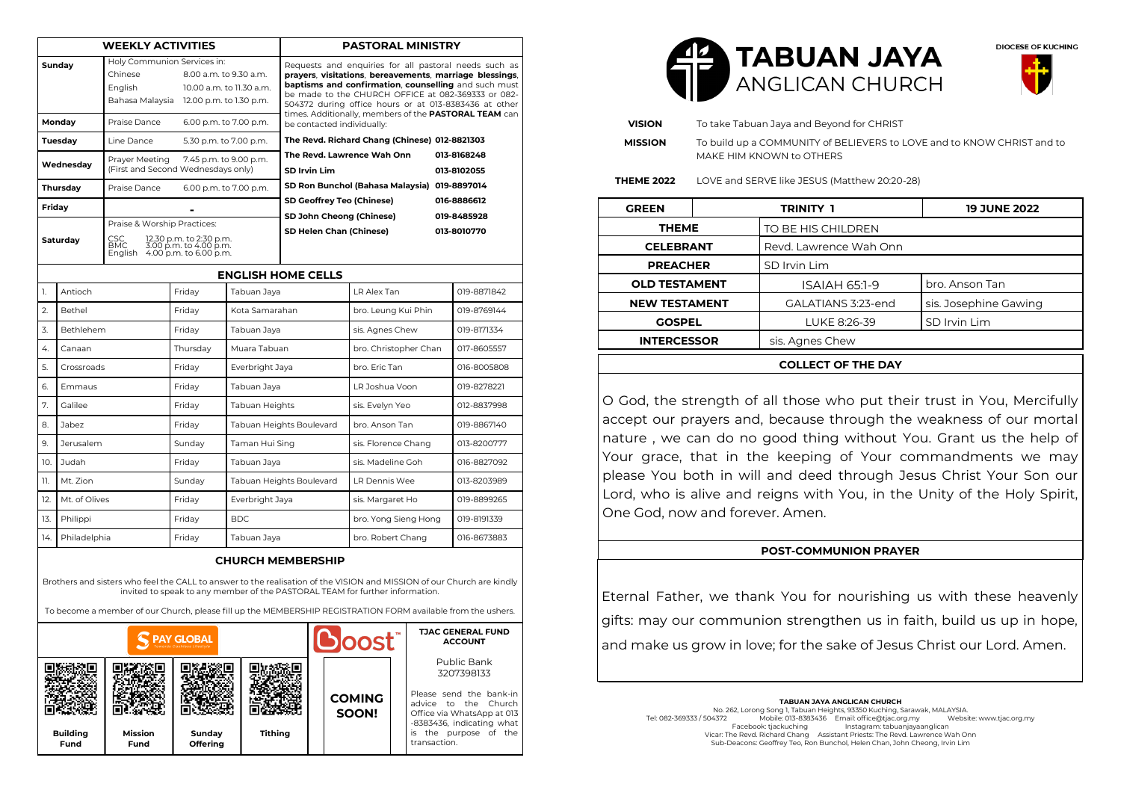| <b>WEEKLY ACTIVITIES</b> |                     |                                                                                                                                                    |                                                                                     |                          | <b>PASTORAL MINISTRY</b>                                                                                                                                                                                                                                                                |                                              |             |  |  |
|--------------------------|---------------------|----------------------------------------------------------------------------------------------------------------------------------------------------|-------------------------------------------------------------------------------------|--------------------------|-----------------------------------------------------------------------------------------------------------------------------------------------------------------------------------------------------------------------------------------------------------------------------------------|----------------------------------------------|-------------|--|--|
|                          | Sundav              | Holy Communion Services in:<br>Chinese<br>8.00 a.m. to 9.30 a.m.<br>English<br>10.00 a.m. to 11.30 a.m.<br>Bahasa Malaysia 12.00 p.m. to 1.30 p.m. |                                                                                     |                          | Requests and enquiries for all pastoral needs such as<br>prayers, visitations, bereavements, marriage blessings,<br>baptisms and confirmation, counselling and such must<br>be made to the CHURCH OFFICE at 082-369333 or 082-<br>504372 during office hours or at 013-8383436 at other |                                              |             |  |  |
| Mondav                   |                     | Praise Dance<br>6.00 p.m. to 7.00 p.m.                                                                                                             |                                                                                     |                          | times. Additionally, members of the PASTORAL TEAM can<br>be contacted individually:                                                                                                                                                                                                     |                                              |             |  |  |
| Tuesday                  |                     | Line Dance                                                                                                                                         |                                                                                     | 5.30 p.m. to 7.00 p.m.   | The Revd. Richard Chang (Chinese) 012-8821303                                                                                                                                                                                                                                           |                                              |             |  |  |
| Wednesdav                |                     | Prayer Meeting<br>7.45 p.m. to 9.00 p.m.<br>(First and Second Wednesdays only)                                                                     |                                                                                     |                          | The Revd. Lawrence Wah Onn<br><b>SD Irvin Lim</b>                                                                                                                                                                                                                                       | 013-8168248<br>013-8102055                   |             |  |  |
| Thursday                 |                     | Praise Dance                                                                                                                                       | 6.00 p.m. to 7.00 p.m.                                                              |                          |                                                                                                                                                                                                                                                                                         | SD Ron Bunchol (Bahasa Malaysia) 019-8897014 |             |  |  |
| Friday                   |                     |                                                                                                                                                    |                                                                                     |                          | SD Geoffrey Teo (Chinese)                                                                                                                                                                                                                                                               | 016-8886612                                  |             |  |  |
| Saturday                 |                     | Praise & Worship Practices:                                                                                                                        |                                                                                     |                          | SD John Cheong (Chinese)<br>SD Helen Chan (Chinese)                                                                                                                                                                                                                                     |                                              | 019-8485928 |  |  |
|                          |                     | CSC.<br><b>BMC</b>                                                                                                                                 | 12.30 p.m. to 2:30 p.m.<br>3.00 p.m. to 4.00 p.m.<br>English 4.00 p.m. to 6.00 p.m. |                          |                                                                                                                                                                                                                                                                                         |                                              | 013-8010770 |  |  |
|                          |                     |                                                                                                                                                    |                                                                                     |                          | <b>ENGLISH HOME CELLS</b>                                                                                                                                                                                                                                                               |                                              |             |  |  |
| 1.                       | Antioch             |                                                                                                                                                    | Fridav<br>Tabuan Jaya                                                               |                          |                                                                                                                                                                                                                                                                                         | LR Alex Tan                                  | 019-8871842 |  |  |
| 2.                       | Bethel              |                                                                                                                                                    |                                                                                     | Kota Samarahan           |                                                                                                                                                                                                                                                                                         | bro. Leung Kui Phin                          | 019-8769144 |  |  |
| 3.                       | <b>Bethlehem</b>    |                                                                                                                                                    | Friday                                                                              | Tabuan Jaya              |                                                                                                                                                                                                                                                                                         | sis. Agnes Chew                              | 019-8171334 |  |  |
| 4.                       | Canaan              |                                                                                                                                                    | Thursday                                                                            | Muara Tabuan             |                                                                                                                                                                                                                                                                                         | bro. Christopher Chan                        | 017-8605557 |  |  |
| 5.                       | Crossroads          |                                                                                                                                                    | Friday                                                                              | Everbright Jaya          |                                                                                                                                                                                                                                                                                         | bro. Fric Tan                                | 016-8005808 |  |  |
| 6.                       | Emmaus              |                                                                                                                                                    | Friday                                                                              | Tabuan Jaya              |                                                                                                                                                                                                                                                                                         | LR Joshua Voon                               | 019-8278221 |  |  |
| 7.                       | Galilee             |                                                                                                                                                    | Friday                                                                              | Tabuan Heights           |                                                                                                                                                                                                                                                                                         | sis. Evelyn Yeo                              | 012-8837998 |  |  |
| 8.                       | Jabez               |                                                                                                                                                    | Fridav                                                                              | Tabuan Heights Boulevard |                                                                                                                                                                                                                                                                                         | bro. Anson Tan                               | 019-8867140 |  |  |
| 9.                       | <b>Jerusalem</b>    |                                                                                                                                                    | Sunday                                                                              | Taman Hui Sing           |                                                                                                                                                                                                                                                                                         | sis. Florence Chang                          | 013-8200777 |  |  |
| 10.                      | Judah               |                                                                                                                                                    | Friday                                                                              | Tabuan Jaya              |                                                                                                                                                                                                                                                                                         | sis. Madeline Goh                            | 016-8827092 |  |  |
| 11.                      | Mt. Zion            |                                                                                                                                                    | Sunday                                                                              | Tabuan Heights Boulevard |                                                                                                                                                                                                                                                                                         | LR Dennis Wee                                | 013-8203989 |  |  |
| 12.                      | Mt. of Olives       |                                                                                                                                                    | Friday                                                                              | Everbright Jaya          |                                                                                                                                                                                                                                                                                         | sis. Margaret Ho                             | 019-8899265 |  |  |
| 13.                      | Philippi            |                                                                                                                                                    | Friday                                                                              | BDC.                     |                                                                                                                                                                                                                                                                                         | bro. Yong Sieng Hong                         | 019-8191339 |  |  |
|                          | 14.<br>Philadelphia |                                                                                                                                                    | Friday                                                                              | Tabuan Jaya              |                                                                                                                                                                                                                                                                                         | bro. Robert Chang                            | 016-8673883 |  |  |

Brothers and sisters who feel the CALL to answer to the realisation of the VISION and MISSION of our Church are kindly invited to speak to any member of the PASTORAL TEAM for further information.

To become a member of our Church, please fill up the MEMBERSHIP REGISTRATION FORM available from the ushers.

| <b>PAY GLOBAL</b>       |                        |                    |                |  | <b>U</b> loost         |  | <b>TJAC GENERAL FUND</b><br><b>ACCOUNT</b>                                                                                              |
|-------------------------|------------------------|--------------------|----------------|--|------------------------|--|-----------------------------------------------------------------------------------------------------------------------------------------|
|                         |                        |                    |                |  | <b>COMING</b><br>SOON! |  | Public Bank<br>3207398133<br>Please send the bank-in<br>advice to the Church<br>Office via WhatsApp at 013<br>-8383436, indicating what |
| <b>Building</b><br>Fund | <b>Mission</b><br>Fund | Sunday<br>Offering | <b>Tithing</b> |  |                        |  | is<br>the purpose of the<br>transaction.                                                                                                |





| <b>VISION</b>        |                                              | To take Tabuan Jaya and Beyond for CHRIST                                                          |                       |  |  |  |
|----------------------|----------------------------------------------|----------------------------------------------------------------------------------------------------|-----------------------|--|--|--|
| <b>MISSION</b>       |                                              | To build up a COMMUNITY of BELIEVERS to LOVE and to KNOW CHRIST and to<br>MAKE HIM KNOWN to OTHERS |                       |  |  |  |
| <b>THEME 2022</b>    | LOVE and SERVE like JESUS (Matthew 20:20-28) |                                                                                                    |                       |  |  |  |
| <b>GREEN</b>         |                                              | trinity 1                                                                                          | <b>19 JUNE 2022</b>   |  |  |  |
| <b>THEME</b>         |                                              | TO BE HIS CHILDREN                                                                                 |                       |  |  |  |
| <b>CELEBRANT</b>     |                                              | Revd. Lawrence Wah Onn                                                                             |                       |  |  |  |
| <b>PREACHER</b>      |                                              | SD Irvin Lim                                                                                       |                       |  |  |  |
| <b>OLD TESTAMENT</b> |                                              | ISAIAH 65:1-9                                                                                      | bro. Anson Tan        |  |  |  |
| <b>NEW TESTAMENT</b> |                                              | GALATIANS 3:23-end                                                                                 | sis. Josephine Gawing |  |  |  |
| <b>GOSPEL</b>        |                                              | LUKE 8:26-39                                                                                       | SD Irvin Lim          |  |  |  |
| <b>INTERCESSOR</b>   |                                              | sis. Agnes Chew                                                                                    |                       |  |  |  |
|                      |                                              |                                                                                                    |                       |  |  |  |

#### **COLLECT OF THE DAY**

O God, the strength of all those who put their trust in You, Mercifully accept our prayers and, because through the weakness of our mortal nature , we can do no good thing without You. Grant us the help of Your grace, that in the keeping of Your commandments we may please You both in will and deed through Jesus Christ Your Son our Lord, who is alive and reigns with You, in the Unity of the Holy Spirit, One God, now and forever. Amen.

#### **POST-COMMUNION PRAYER**

Eternal Father, we thank You for nourishing us with these heavenly gifts: may our communion strengthen us in faith, build us up in hope, and make us grow in love; for the sake of Jesus Christ our Lord. Amen.

**TABUAN JAYA ANGLICAN CHURCH** No. 262, Lorong Song 1, Tabuan Heights, 93350 Kuching, Sarawak, MALAYSIA. Tel: 082-369333 / 504372 Mobile: 013-8383436 Email: office@tjac.org.my Website: www.tjac.org.my Instagram: tabuanjayaanglican Vicar: The Revd. Richard Chang Assistant Priests: The Revd. Lawrence Wah Onn Sub-Deacons: Geoffrey Teo, Ron Bunchol, Helen Chan, John Cheong, Irvin Lim